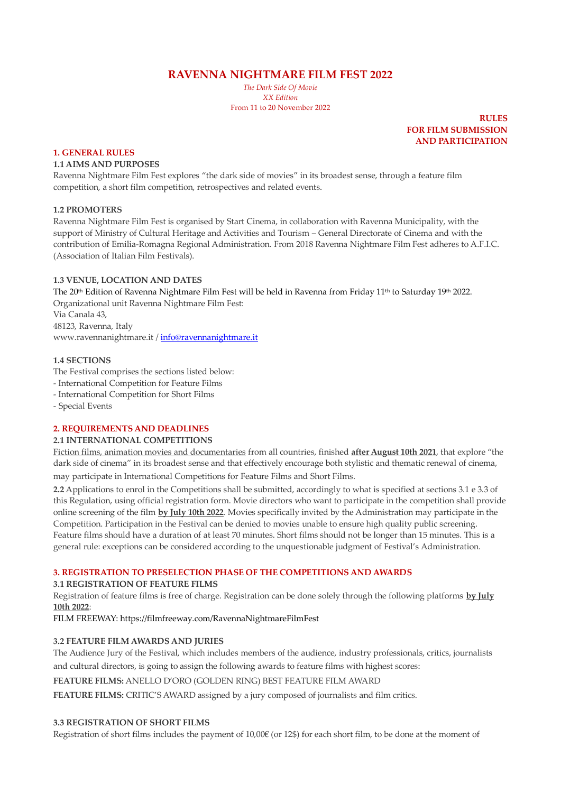**RAVENNA NIGHTMARE FILM FEST 2022**

*The Dark Side Of Movie XX Edition* From 11 to 20 November 2022

> **RULES FOR FILM SUBMISSION AND PARTICIPATION**

#### **1. GENERAL RULES**

#### **1.1 AIMS AND PURPOSES**

Ravenna Nightmare Film Fest explores "the dark side of movies" in its broadest sense, through a feature film competition, a short film competition, retrospectives and related events.

### **1.2 PROMOTERS**

Ravenna Nightmare Film Fest is organised by Start Cinema, in collaboration with Ravenna Municipality, with the support of Ministry of Cultural Heritage and Activities and Tourism – General Directorate of Cinema and with the contribution of Emilia-Romagna Regional Administration. From 2018 Ravenna Nightmare Film Fest adheres to A.F.I.C. (Association of Italian Film Festivals).

#### **1.3 VENUE, LOCATION AND DATES**

The 20<sup>th</sup> Edition of Ravenna Nightmare Film Fest will be held in Ravenna from Friday 11<sup>th</sup> to Saturday 19<sup>th</sup> 2022. Organizational unit Ravenna Nightmare Film Fest: Via Canala 43, 48123, Ravenna, Italy

www.ravennanightmare.it [/ info@ravennanightmare.it](mailto:info@ravennanightmare.it)

#### **1.4 SECTIONS**

The Festival comprises the sections listed below:

- International Competition for Feature Films
- International Competition for Short Films

- Special Events

# **2. REQUIREMENTS AND DEADLINES**

# **2.1 INTERNATIONAL COMPETITIONS**

Fiction films, animation movies and documentaries from all countries, finished **after August 10th 2021**, that explore "the dark side of cinema" in its broadest sense and that effectively encourage both stylistic and thematic renewal of cinema,

may participate in International Competitions for Feature Films and Short Films.

**2.2** Applications to enrol in the Competitions shall be submitted, accordingly to what is specified at sections 3.1 e 3.3 of this Regulation, using official registration form. Movie directors who want to participate in the competition shall provide online screening of the film **by July 10th 2022**. Movies specifically invited by the Administration may participate in the Competition. Participation in the Festival can be denied to movies unable to ensure high quality public screening. Feature films should have a duration of at least 70 minutes. Short films should not be longer than 15 minutes. This is a general rule: exceptions can be considered according to the unquestionable judgment of Festival's Administration.

# **3. REGISTRATION TO PRESELECTION PHASE OF THE COMPETITIONS AND AWARDS**

# **3.1 REGISTRATION OF FEATURE FILMS**

Registration of feature films is free of charge. Registration can be done solely through the following platforms **by July 10th 2022**:

FILM FREEWAY: https://filmfreeway.com/RavennaNightmareFilmFest

### **3.2 FEATURE FILM AWARDS AND JURIES**

The Audience Jury of the Festival, which includes members of the audience, industry professionals, critics, journalists and cultural directors, is going to assign the following awards to feature films with highest scores:

**FEATURE FILMS:** ANELLO D'ORO (GOLDEN RING) BEST FEATURE FILM AWARD

**FEATURE FILMS:** CRITIC'S AWARD assigned by a jury composed of journalists and film critics.

#### **3.3 REGISTRATION OF SHORT FILMS**

Registration of short films includes the payment of 10,00€ (or 12\$) for each short film, to be done at the moment of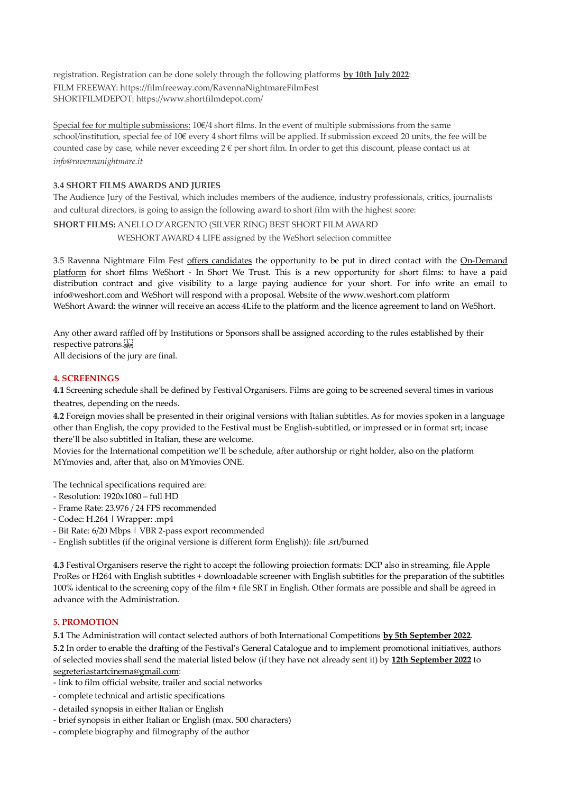registration. Registration can be done solely through the following platforms **by 10th July 2022**: FILM FREEWAY: https://filmfreeway.com/RavennaNightmareFilmFest SHORTFILMDEPOT: https://www.shortfilmdepot.com/

Special fee for multiple submissions: 10€/4 short films. In the event of multiple submissions from the same school/institution, special fee of 10€ every 4 short films will be applied. If submission exceed 20 units, the fee will be counted case by case, while never exceeding  $2 \in \text{per short film}$ . In order to get this discount, please contact us at *info@ravennanightmare.it*

# **3.4 SHORT FILMS AWARDS AND JURIES**

The Audience Jury of the Festival, which includes members of the audience, industry professionals, critics, journalists and cultural directors, is going to assign the following award to short film with the highest score:

**SHORT FILMS:** ANELLO D'ARGENTO (SILVER RING) BEST SHORT FILM AWARD

WESHORT AWARD 4 LIFE assigned by the WeShort selection committee

3.5 Ravenna Nightmare Film Fest offers candidates the opportunity to be put in direct contact with the On-Demand platform for short films WeShort - In Short We Trust. This is a new opportunity for short films: to have a paid distribution contract and give visibility to a large paying audience for your short. For info write an email to info@weshort.com and WeShort will respond with a proposal. Website of the www.weshort.com platform WeShort Award: the winner will receive an access 4Life to the platform and the licence agreement to land on WeShort.

Any other award raffled off by Institutions or Sponsors shall be assigned according to the rules established by their respective patrons. All decisions of the jury are final.

## **4. SCREENINGS**

**4.1** Screening schedule shall be defined by Festival Organisers. Films are going to be screened several times in various theatres, depending on the needs.

**4.2** Foreign movies shall be presented in their original versions with Italian subtitles. As for movies spoken in a language other than English, the copy provided to the Festival must be English-subtitled, or impressed or in format srt; incase there'll be also subtitled in Italian, these are welcome.

Movies for the International competition we'll be schedule, after authorship or right holder, also on the platform MYmovies and, after that, also on MYmovies ONE.

The technical specifications required are:

- Resolution: 1920x1080 full HD
- Frame Rate: 23.976 / 24 FPS recommended
- Codec: H.264 | Wrapper: .mp4
- Bit Rate: 6/20 Mbps | VBR 2-pass export recommended
- English subtitles (if the original versione is different form English)): file .srt/burned

**4.3** Festival Organisers reserve the right to accept the following proiection formats: DCP also in streaming, file Apple ProRes or H264 with English subtitles + downloadable screener with English subtitles for the preparation of the subtitles 100% identical to the screening copy of the film + file SRT in English. Other formats are possible and shall be agreed in advance with the Administration.

#### **5. PROMOTION**

**5.1** The Administration will contact selected authors of both International Competitions **by 5th September 2022**.

**5.2** In order to enable the drafting of the Festival's General Catalogue and to implement promotional initiatives, authors of selected movies shall send the material listed below (if they have not already sent it) by **12th September 2022** to segreteriastartcinema@gmail.com:

- link to film official website, trailer and social networks
- complete technical and artistic specifications
- detailed synopsis in either Italian or English
- brief synopsis in either Italian or English (max. 500 characters)
- complete biography and filmography of the author